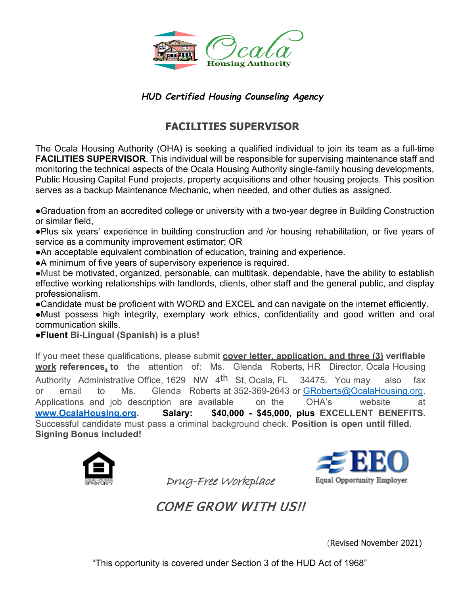

### *HUD Certified Housing Counseling Agency*

## **FACILITIES SUPERVISOR**

The Ocala Housing Authority (OHA) is seeking a qualified individual to join its team as a full-time **FACILITIES SUPERVISOR**. This individual will be responsible for supervising maintenance staff and monitoring the technical aspects of the Ocala Housing Authority single-family housing developments, Public Housing Capital Fund projects, property acquisitions and other housing projects. This position serves as a backup Maintenance Mechanic, when needed, and other duties as assigned.

●Graduation from an accredited college or university with a two-year degree in Building Construction or similar field,

●Plus six years' experience in building construction and /or housing rehabilitation, or five years of service as a community improvement estimator; OR

●An acceptable equivalent combination of education, training and experience.

●A minimum of five years of supervisory experience is required.

●Must be motivated, organized, personable, can multitask, dependable, have the ability to establish effective working relationships with landlords, clients, other staff and the general public, and display professionalism.

●Candidate must be proficient with WORD and EXCEL and can navigate on the internet efficiently. ●Must possess high integrity, exemplary work ethics, confidentiality and good written and oral communication skills.

●**Fluent Bi-Lingual (Spanish) is a plus!**

If you meet these qualifications, please submit **cover letter, application, and three (3) verifiable work references, to** the attention of: Ms. Glenda Roberts, HR Director, Ocala Housing Authority Administrative Office, 1629 NW 4<sup>th</sup> St, Ocala, FL 34475. You may also fax or email to Ms. Glenda Roberts at 352-369-2643 or [GRoberts@OcalaHous](mailto:GRoberts@OcalaHousing.org)ing.org. Applications and job description are available on the OHA's website at **[www.OcalaHousing.org.](http://www.ocalahousing.org/) Salary: \$40,000 - \$45,000, plus EXCELLENT BENEFITS.** Successful candidate must pass a criminal background check. **Position is open until filled. Signing Bonus included!**





COME GROW WITH US!!

Drug-Free Workplace

(Revised November 2021)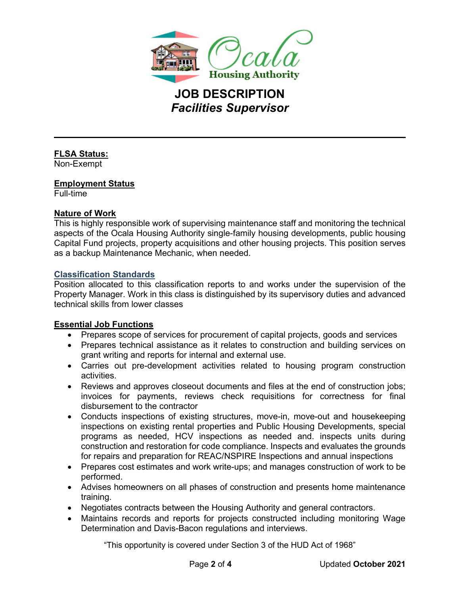

# **JOB DESCRIPTION** *Facilities Supervisor*

#### **FLSA Status:**

Non-Exempt

#### **Employment Status**

Full-time

ı

#### **Nature of Work**

This is highly responsible work of supervising maintenance staff and monitoring the technical aspects of the Ocala Housing Authority single-family housing developments, public housing Capital Fund projects, property acquisitions and other housing projects. This position serves as a backup Maintenance Mechanic, when needed.

#### **Classification Standards**

Position allocated to this classification reports to and works under the supervision of the Property Manager. Work in this class is distinguished by its supervisory duties and advanced technical skills from lower classes

#### **Essential Job Functions**

- Prepares scope of services for procurement of capital projects, goods and services
- Prepares technical assistance as it relates to construction and building services on grant writing and reports for internal and external use.
- Carries out pre-development activities related to housing program construction activities.
- Reviews and approves closeout documents and files at the end of construction jobs; invoices for payments, reviews check requisitions for correctness for final disbursement to the contractor
- Conducts inspections of existing structures, move-in, move-out and housekeeping inspections on existing rental properties and Public Housing Developments, special programs as needed, HCV inspections as needed and. inspects units during construction and restoration for code compliance. Inspects and evaluates the grounds for repairs and preparation for REAC/NSPIRE Inspections and annual inspections
- Prepares cost estimates and work write-ups; and manages construction of work to be performed.
- Advises homeowners on all phases of construction and presents home maintenance training.
- Negotiates contracts between the Housing Authority and general contractors.
- Maintains records and reports for projects constructed including monitoring Wage Determination and Davis-Bacon regulations and interviews.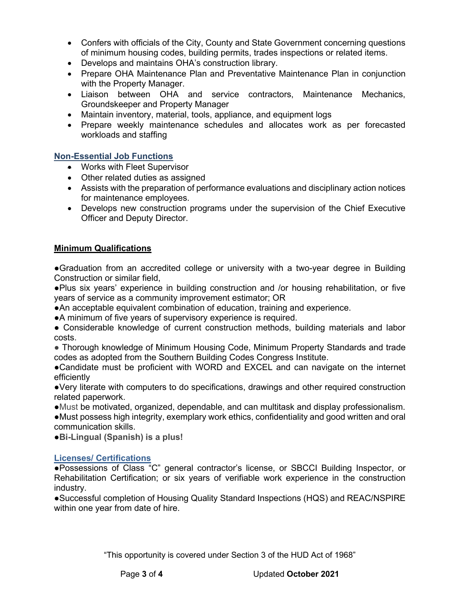- Confers with officials of the City, County and State Government concerning questions of minimum housing codes, building permits, trades inspections or related items.
- Develops and maintains OHA's construction library.
- Prepare OHA Maintenance Plan and Preventative Maintenance Plan in conjunction with the Property Manager.
- Liaison between OHA and service contractors, Maintenance Mechanics, Groundskeeper and Property Manager
- Maintain inventory, material, tools, appliance, and equipment logs
- Prepare weekly maintenance schedules and allocates work as per forecasted workloads and staffing

#### **Non-Essential Job Functions**

- Works with Fleet Supervisor
- Other related duties as assigned
- Assists with the preparation of performance evaluations and disciplinary action notices for maintenance employees.
- Develops new construction programs under the supervision of the Chief Executive Officer and Deputy Director.

#### **Minimum Qualifications**

●Graduation from an accredited college or university with a two-year degree in Building Construction or similar field,

●Plus six years' experience in building construction and /or housing rehabilitation, or five years of service as a community improvement estimator; OR

●An acceptable equivalent combination of education, training and experience.

●A minimum of five years of supervisory experience is required.

• Considerable knowledge of current construction methods, building materials and labor costs.

● Thorough knowledge of Minimum Housing Code, Minimum Property Standards and trade codes as adopted from the Southern Building Codes Congress Institute.

●Candidate must be proficient with WORD and EXCEL and can navigate on the internet efficiently

●Very literate with computers to do specifications, drawings and other required construction related paperwork.

●Must be motivated, organized, dependable, and can multitask and display professionalism. ●Must possess high integrity, exemplary work ethics, confidentiality and good written and oral communication skills.

●**Bi-Lingual (Spanish) is a plus!**

#### **Licenses/ Certifications**

●Possessions of Class "C" general contractor's license, or SBCCI Building Inspector, or Rehabilitation Certification; or six years of verifiable work experience in the construction industry.

●Successful completion of Housing Quality Standard Inspections (HQS) and REAC/NSPIRE within one year from date of hire.